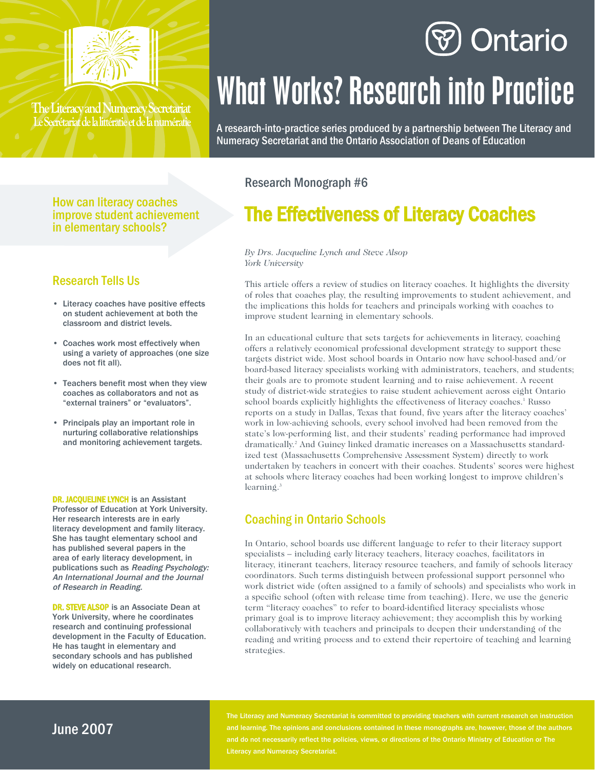

The Literacy and Numeracy Secretariat Le Secrétariat de la littératie et de la numératie

## Ontario

# What Works? Research into Practice

A research-into-practice series produced by a partnership between The Literacy and Numeracy Secretariat and the Ontario Association of Deans of Education

#### Research Monograph #6

### The Effectiveness of Literacy Coaches

*By Drs. Jacqueline Lynch and Steve Alsop York University*

This article offers a review of studies on literacy coaches. It highlights the diversity of roles that coaches play, the resulting improvements to student achievement, and the implications this holds for teachers and principals working with coaches to improve student learning in elementary schools.

In an educational culture that sets targets for achievements in literacy, coaching offers a relatively economical professional development strategy to support these targets district wide. Most school boards in Ontario now have school-based and/or board-based literacy specialists working with administrators, teachers, and students; their goals are to promote student learning and to raise achievement. A recent study of district-wide strategies to raise student achievement across eight Ontario school boards explicitly highlights the effectiveness of literacy coaches.<sup>1</sup> Russo reports on a study in Dallas, Texas that found, five years after the literacy coaches' work in low-achieving schools, every school involved had been removed from the state's low-performing list, and their students' reading performance had improved dramatically.2 And Guiney linked dramatic increases on a Massachusetts standardized test (Massachusetts Comprehensive Assessment System) directly to work undertaken by teachers in concert with their coaches. Students' scores were highest at schools where literacy coaches had been working longest to improve children's learning.<sup>3</sup>

#### Coaching in Ontario Schools

In Ontario, school boards use different language to refer to their literacy support specialists – including early literacy teachers, literacy coaches, facilitators in literacy, itinerant teachers, literacy resource teachers, and family of schools literacy coordinators. Such terms distinguish between professional support personnel who work district wide (often assigned to a family of schools) and specialists who work in a specific school (often with release time from teaching). Here, we use the generic term "literacy coaches" to refer to board-identified literacy specialists whose primary goal is to improve literacy achievement; they accomplish this by working collaboratively with teachers and principals to deepen their understanding of the reading and writing process and to extend their repertoire of teaching and learning strategies.

### in elementary schools?

How can literacy coaches improve student achievement

#### Research Tells Us

- Literacy coaches have positive effects on student achievement at both the classroom and district levels.
- Coaches work most effectively when using a variety of approaches (one size does not fit all).
- Teachers benefit most when they view coaches as collaborators and not as "external trainers" or "evaluators".
- Principals play an important role in nurturing collaborative relationships and monitoring achievement targets.

DR. JACQUELINE LYNCH is an Assistant Professor of Education at York University. Her research interests are in early literacy development and family literacy. She has taught elementary school and has published several papers in the area of early literacy development, in publications such as Reading Psychology: An International Journal and the Journal of Research in Reading.

DR. STEVE ALSOP is an Associate Dean at York University, where he coordinates research and continuing professional development in the Faculty of Education. He has taught in elementary and secondary schools and has published widely on educational research.

#### June 2007

The Literacy and Numeracy Secretariat is committed to providing teachers with current research on instruction and learning. The opinions and conclusions contained in these monographs are, however, those of the authors and do not necessarily reflect the policies, views, or directions of the Ontario Ministry of Education or The Literacy and Numeracy Secretariat.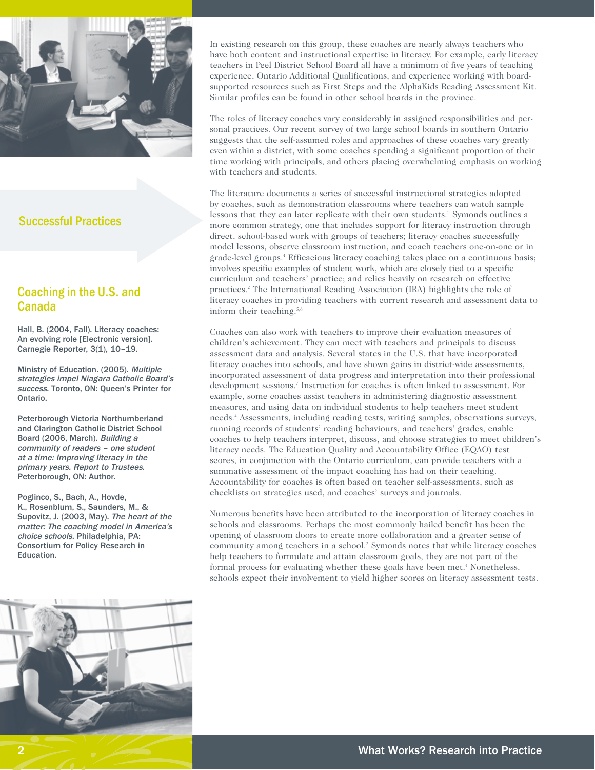

#### Successful Practices

#### Coaching in the U.S. and Canada

Hall, B. (2004, Fall). Literacy coaches: An evolving role [Electronic version]. Carnegie Reporter, 3(1), 10-19.

Ministry of Education. (2005). Multiple strategies impel Niagara Catholic Board's success. Toronto, ON: Queen's Printer for Ontario.

Peterborough Victoria Northumberland and Clarington Catholic District School Board (2006, March). Building a community of readers – one student at a time: Improving literacy in the primary years. Report to Trustees. Peterborough, ON: Author.

Poglinco, S., Bach, A., Hovde, K., Rosenblum, S., Saunders, M., & Supovitz, J. (2003, May). The heart of the matter: The coaching model in America's choice schools. Philadelphia, PA: Consortium for Policy Research in Education.



In existing research on this group, these coaches are nearly always teachers who have both content and instructional expertise in literacy. For example, early literacy teachers in Peel District School Board all have a minimum of five years of teaching experience, Ontario Additional Qualifications, and experience working with boardsupported resources such as First Steps and the AlphaKids Reading Assessment Kit. Similar profiles can be found in other school boards in the province.

The roles of literacy coaches vary considerably in assigned responsibilities and personal practices. Our recent survey of two large school boards in southern Ontario suggests that the self-assumed roles and approaches of these coaches vary greatly even within a district, with some coaches spending a significant proportion of their time working with principals, and others placing overwhelming emphasis on working with teachers and students.

The literature documents a series of successful instructional strategies adopted by coaches, such as demonstration classrooms where teachers can watch sample lessons that they can later replicate with their own students.<sup>2</sup> Symonds outlines a more common strategy, one that includes support for literacy instruction through direct, school-based work with groups of teachers; literacy coaches successfully model lessons, observe classroom instruction, and coach teachers one-on-one or in grade-level groups.4 Efficacious literacy coaching takes place on a continuous basis; involves specific examples of student work, which are closely tied to a specific curriculum and teachers' practice; and relies heavily on research on effective practices.2 The International Reading Association (IRA) highlights the role of literacy coaches in providing teachers with current research and assessment data to inform their teaching.<sup>5,6</sup>

Coaches can also work with teachers to improve their evaluation measures of children's achievement. They can meet with teachers and principals to discuss assessment data and analysis. Several states in the U.S. that have incorporated literacy coaches into schools, and have shown gains in district-wide assessments, incorporated assessment of data progress and interpretation into their professional development sessions.<sup>7</sup> Instruction for coaches is often linked to assessment. For example, some coaches assist teachers in administering diagnostic assessment measures, and using data on individual students to help teachers meet student needs.4 Assessments, including reading tests, writing samples, observations surveys, running records of students' reading behaviours, and teachers' grades, enable coaches to help teachers interpret, discuss, and choose strategies to meet children's literacy needs. The Education Quality and Accountability Office (EQAO) test scores, in conjunction with the Ontario curriculum, can provide teachers with a summative assessment of the impact coaching has had on their teaching. Accountability for coaches is often based on teacher self-assessments, such as checklists on strategies used, and coaches' surveys and journals.

Numerous benefits have been attributed to the incorporation of literacy coaches in schools and classrooms. Perhaps the most commonly hailed benefit has been the opening of classroom doors to create more collaboration and a greater sense of community among teachers in a school.<sup>2</sup> Symonds notes that while literacy coaches help teachers to formulate and attain classroom goals, they are not part of the formal process for evaluating whether these goals have been met.<sup>4</sup> Nonetheless, schools expect their involvement to yield higher scores on literacy assessment tests.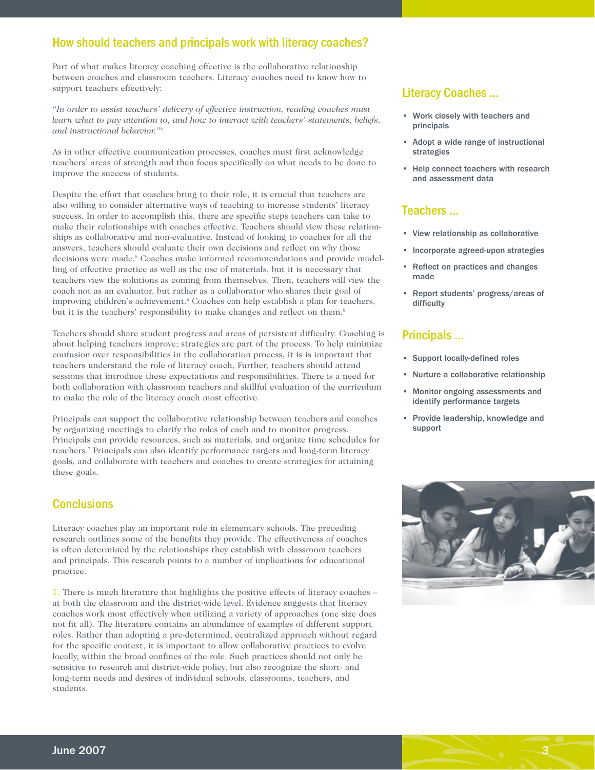#### How should teachers and principals work with literacy coaches?

Part of what makes literacy coaching effective is the collaborative relationship between coaches and classroom teachers. Literacy coaches need to know how to support teachers effectively:

*"In order to assist teachers' delivery of effective instruction, reading coaches must learn what to pay attention to, and how to interact with teachers' statements, beliefs, and instructional behavior."*<sup>8</sup>

As in other effective communication processes, coaches must first acknowledge teachers' areas of strength and then focus specifically on what needs to be done to improve the success of students.

Despite the effort that coaches bring to their role, it is crucial that teachers are also willing to consider alternative ways of teaching to increase students' literacy success. In order to accomplish this, there are specific steps teachers can take to make their relationships with coaches effective. Teachers should view these relationships as collaborative and non-evaluative. Instead of looking to coaches for all the answers, teachers should evaluate their own decisions and reflect on why those decisions were made.<sup>8</sup> Coaches make informed recommendations and provide modelling of effective practice as well as the use of materials, but it is necessary that teachers view the solutions as coming from themselves. Then, teachers will view the coach not as an evaluator, but rather as a collaborator who shares their goal of improving children's achievement.<sup>6</sup> Coaches can help establish a plan for teachers, but it is the teachers' responsibility to make changes and reflect on them.<sup>8</sup>

Teachers should share student progress and areas of persistent difficulty. Coaching is about helping teachers improve; strategies are part of the process. To help minimize confusion over responsibilities in the collaboration process, it is is important that teachers understand the role of literacy coach, Further, teachers should attend sessions that introduce these expectations and responsibilities. There is a need for both collaboration with classroom teachers and skillful evaluation of the curriculum to make the role of the literacy coach most effective.

Principals can support the collaborative relationship between teachers and coaches by organizing meetings to clarify the roles of each and to monitor progress. Principals can provide resources, such as materials, and organize time schedules for teachers.7 Principals can also identify performance targets and long-term literacy goals, and collaborate with teachers and coaches to create strategies for attaining these goals.

#### **Conclusions**

Literacy coaches play an important role in elementary schools. The preceding research outlines some of the benefits they provide. The effectiveness of coaches is often determined by the relationships they establish with classroom teachers and principals. This research points to a number of implications for educational practice.

1. There is much literature that highlights the positive effects of literacy coaches – at both the classroom and the district-wide level. Evidence suggests that literacy coaches work most effectively when utilizing a variety of approaches (one size does not fit all). The literature contains an abundance of examples of different support roles. Rather than adopting a pre-determined, centralized approach without regard for the specific context, it is important to allow collaborative practices to evolve locally, within the broad confines of the role. Such practices should not only be sensitive to research and district-wide policy, but also recognize the short- and long-term needs and desires of individual schools, classrooms, teachers, and students.

#### Literacy Coaches ...

- Work closely with teachers and principals
- Adopt a wide range of instructional strategies
- Help connect teachers with research and assessment data

#### Teachers ...

- View relationship as collaborative
- Incorporate agreed-upon strategies
- Reflect on practices and changes made
- Report students' progress/areas of difficulty

#### Principals ...

- Support locally-defined roles
- Nurture a collaborative relationship
- Monitor ongoing assessments and identify performance targets
- Provide leadership, knowledge and support



3